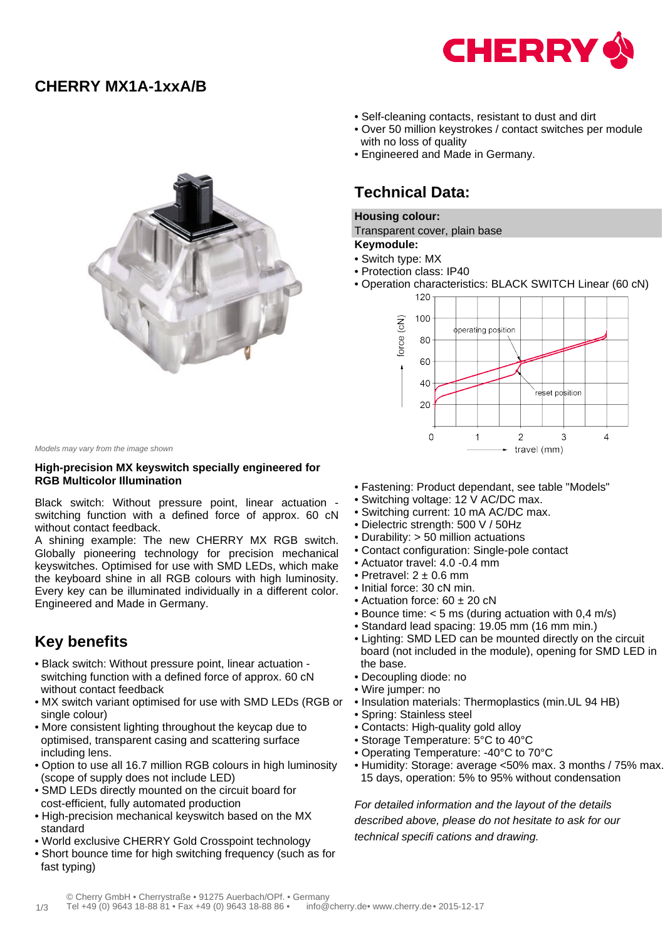

## **CHERRY MX1A-1xxA/B**



- Self-cleaning contacts, resistant to dust and dirt
- Over 50 million keystrokes / contact switches per module with no loss of quality
- Engineered and Made in Germany.

## **Technical Data:**

#### **Housing colour:**

Transparent cover, plain base

#### **Keymodule:**

- Switch type: MX
- Protection class: IP40
- Operation characteristics: BLACK SWITCH Linear (60 cN)



Models may vary from the image shown

#### **High-precision MX keyswitch specially engineered for RGB Multicolor Illumination**

Black switch: Without pressure point, linear actuation switching function with a defined force of approx. 60 cN without contact feedback.

A shining example: The new CHERRY MX RGB switch. Globally pioneering technology for precision mechanical keyswitches. Optimised for use with SMD LEDs, which make the keyboard shine in all RGB colours with high luminosity. Every key can be illuminated individually in a different color. Engineered and Made in Germany.

# **Key benefits**

- Black switch: Without pressure point, linear actuation switching function with a defined force of approx. 60 cN without contact feedback
- MX switch variant optimised for use with SMD LEDs (RGB or single colour)
- More consistent lighting throughout the keycap due to optimised, transparent casing and scattering surface including lens.
- Option to use all 16.7 million RGB colours in high luminosity (scope of supply does not include LED)
- SMD LEDs directly mounted on the circuit board for cost-efficient, fully automated production
- High-precision mechanical keyswitch based on the MX standard
- World exclusive CHERRY Gold Crosspoint technology
- Short bounce time for high switching frequency (such as for fast typing)
- Fastening: Product dependant, see table "Models"
- Switching voltage: 12 V AC/DC max.
- Switching current: 10 mA AC/DC max.
- Dielectric strength: 500 V / 50Hz
- Durability: > 50 million actuations
- Contact configuration: Single-pole contact
- Actuator travel: 4.0 -0.4 mm
- Pretravel:  $2 + 0.6$  mm
- Initial force: 30 cN min.
- Actuation force: 60 ± 20 cN
- Bounce time: < 5 ms (during actuation with 0,4 m/s)
- Standard lead spacing: 19.05 mm (16 mm min.)
- Lighting: SMD LED can be mounted directly on the circuit board (not included in the module), opening for SMD LED in the base.
- Decoupling diode: no
- Wire jumper: no
- Insulation materials: Thermoplastics (min.UL 94 HB)
- Spring: Stainless steel
- Contacts: High-quality gold alloy
- Storage Temperature: 5°C to 40°C
- Operating Temperature: -40°C to 70°C
- Humidity: Storage: average <50% max. 3 months / 75% max. 15 days, operation: 5% to 95% without condensation

For detailed information and the layout of the details described above, please do not hesitate to ask for our technical specifi cations and drawing.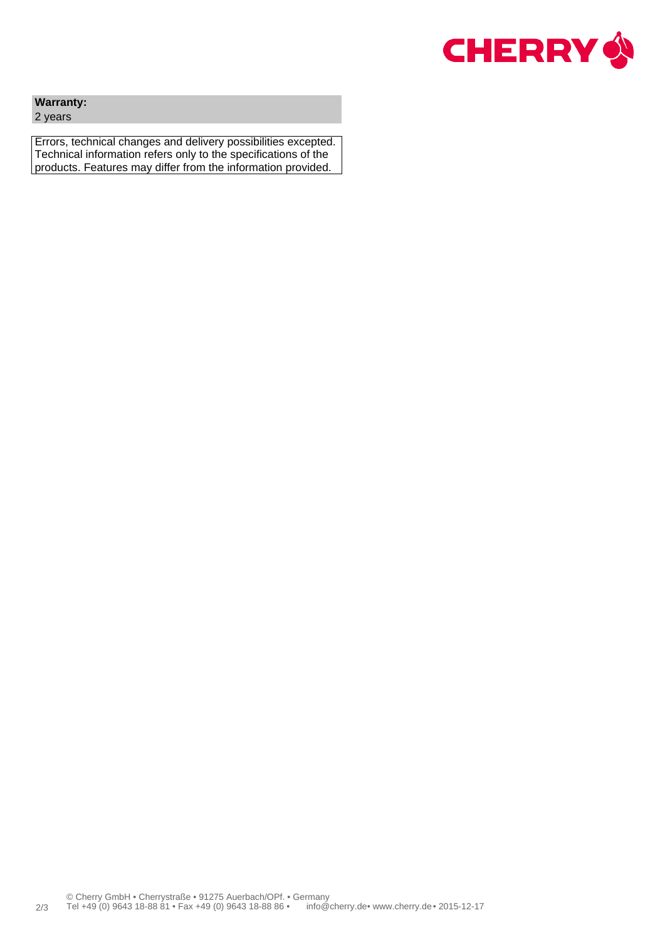

### **Warranty:**

2 years

Errors, technical changes and delivery possibilities excepted. Technical information refers only to the specifications of the products. Features may differ from the information provided.